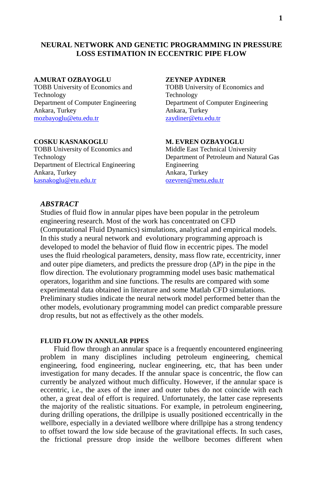# **NEURAL NETWORK AND GENETIC PROGRAMMING IN PRESSURE LOSS ESTIMATION IN ECCENTRIC PIPE FLOW**

#### **A.MURAT OZBAYOGLU**

TOBB University of Economics and Technology Department of Computer Engineering Ankara, Turkey [mozbayoglu@etu.edu.tr](mailto:mozbayoglu@etu.edu.tr)

### **COSKU KASNAKOGLU**

TOBB University of Economics and Technology Department of Electrical Engineering Ankara, Turkey [kasnakoglu@etu.edu.tr](mailto:kasnakoglu@etu.edu.tr)

## **ZEYNEP AYDINER**

TOBB University of Economics and Technology Department of Computer Engineering Ankara, Turkey [zaydiner@etu.edu.tr](mailto:zaydiner@etu.edu.tr)

## **M. EVREN OZBAYOGLU**

Middle East Technical University Department of Petroleum and Natural Gas Engineering Ankara, Turkey [ozevren@metu.edu.tr](mailto:ozevren@metu.edu.tr)

# *ABSTRACT*

Studies of fluid flow in annular pipes have been popular in the petroleum engineering research. Most of the work has concentrated on CFD (Computational Fluid Dynamics) simulations, analytical and empirical models. In this study a neural network and evolutionary programming approach is developed to model the behavior of fluid flow in eccentric pipes. The model uses the fluid rheological parameters, density, mass flow rate, eccentricity, inner and outer pipe diameters, and predicts the pressure drop  $(\Delta P)$  in the pipe in the flow direction. The evolutionary programming model uses basic mathematical operators, logarithm and sine functions. The results are compared with some experimental data obtained in literature and some Matlab CFD simulations. Preliminary studies indicate the neural network model performed better than the other models, evolutionary programming model can predict comparable pressure drop results, but not as effectively as the other models.

### **FLUID FLOW IN ANNULAR PIPES**

Fluid flow through an annular space is a frequently encountered engineering problem in many disciplines including petroleum engineering, chemical engineering, food engineering, nuclear engineering, etc, that has been under investigation for many decades. If the annular space is concentric, the flow can currently be analyzed without much difficulty. However, if the annular space is eccentric, i.e., the axes of the inner and outer tubes do not coincide with each other, a great deal of effort is required. Unfortunately, the latter case represents the majority of the realistic situations. For example, in petroleum engineering, during drilling operations, the drillpipe is usually positioned eccentrically in the wellbore, especially in a deviated wellbore where drillpipe has a strong tendency to offset toward the low side because of the gravitational effects. In such cases, the frictional pressure drop inside the wellbore becomes different when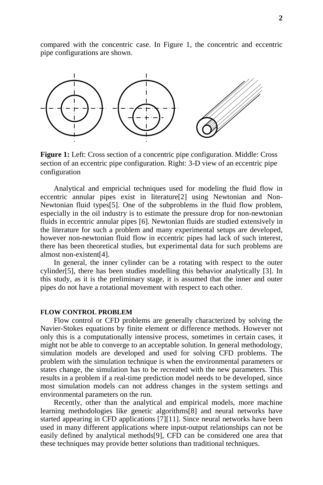compared with the concentric case. In Figure 1, the concentric and eccentric pipe configurations are shown.



**Figure 1:** Left: Cross section of a concentric pipe configuration. Middle: Cross section of an eccentric pipe configuration. Right: 3-D view of an eccentric pipe configuration

Analytical and empricial techniques used for modeling the fluid flow in eccentric annular pipes exist in literature<sup>[2]</sup> using Newtonian and Non-Newtonian fluid types[5]. One of the subproblems in the fluid flow problem, especially in the oil industry is to estimate the pressure drop for non-newtonian fluids in eccentric annular pipes [6]. Newtonian fluids are studied extensively in the literature for such a problem and many experimental setups are developed, however non-newtonian fluid flow in eccentric pipes had lack of such interest, there has been theoretical studies, but experimental data for such problems are almost non-existent[4].

In general, the inner cylinder can be a rotating with respect to the outer cylinder[5], there has been studies modelling this behavior analytically [3]. In this study, as it is the preliminary stage, it is assumed that the inner and outer pipes do not have a rotational movement with respect to each other.

## **FLOW CONTROL PROBLEM**

Flow control or CFD problems are generally characterized by solving the Navier-Stokes equations by finite element or difference methods. However not only this is a computationally intensive process, sometimes in certain cases, it might not be able to converge to an acceptable solution. In general methodology, simulation models are developed and used for solving CFD problems. The problem with the simulation technique is when the environmental parameters or states change, the simulation has to be recreated with the new parameters. This results in a problem if a real-time prediction model needs to be developed, since most simulation models can not address changes in the system settings and environmental parameters on the run.

Recently, other than the analytical and empirical models, more machine learning methodologies like genetic algorithms[8] and neural networks have started appearing in CFD applications [7][11]. Since neural networks have been used in many different applications where input-output relationships can not be easily defined by analytical methods[9], CFD can be considered one area that these techniques may provide better solutions than traditional techniques.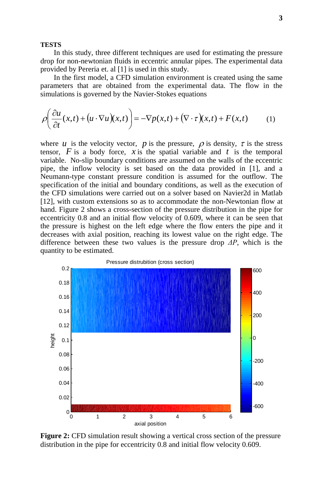#### **TESTS**

In this study, three different techniques are used for estimating the pressure drop for non-newtonian fluids in eccentric annular pipes. The experimental data provided by Pereria et. al [1] is used in this study.

In the first model, a CFD simulation environment is created using the same parameters that are obtained from the experimental data. The flow in the simulations is governed by the Navier-Stokes equations

$$
\rho\left(\frac{\partial u}{\partial t}(x,t) + \left(u \cdot \nabla u\right)(x,t)\right) = -\nabla p(x,t) + \left(\nabla \cdot \tau\right)(x,t) + F(x,t) \tag{1}
$$

where *u* is the velocity vector, *p* is the pressure,  $\rho$  is density,  $\tau$  is the stress tensor,  $F$  is a body force,  $x$  is the spatial variable and  $t$  is the temporal variable. No-slip boundary conditions are assumed on the walls of the eccentric pipe, the inflow velocity is set based on the data provided in [1], and a Neumann-type constant pressure condition is assumed for the outflow. The specification of the initial and boundary conditions, as well as the execution of the CFD simulations were carried out on a solver based on Navier2d in Matlab [12], with custom extensions so as to accommodate the non-Newtonian flow at hand. Figure 2 shows a cross-section of the pressure distribution in the pipe for eccentricity 0.8 and an initial flow velocity of 0.609, where it can be seen that the pressure is highest on the left edge where the flow enters the pipe and it decreases with axial position, reaching its lowest value on the right edge. The difference between these two values is the pressure drop *ΔP*, which is the quantity to be estimated.



**Figure 2:** CFD simulation result showing a vertical cross section of the pressure distribution in the pipe for eccentricity 0.8 and initial flow velocity 0.609.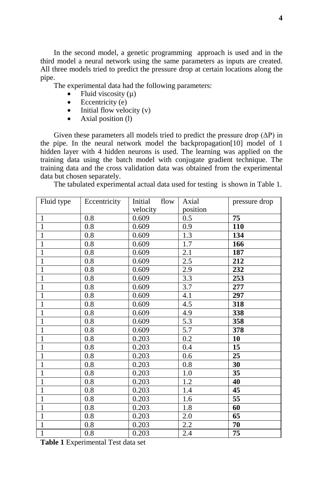In the second model, a genetic programming approach is used and in the third model a neural network using the same parameters as inputs are created. All three models tried to predict the pressure drop at certain locations along the pipe.

The experimental data had the following parameters:

- Fluid viscosity  $(\mu)$
- Eccentricity (e)
- $\bullet$  Initial flow velocity (v)
- Axial position (1)

Given these parameters all models tried to predict the pressure drop  $(\Delta P)$  in the pipe. In the neural network model the backpropagation[10] model of 1 hidden layer with 4 hidden neurons is used. The learning was applied on the training data using the batch model with conjugate gradient technique. The training data and the cross validation data was obtained from the experimental data but chosen separately.

The tabulated experimental actual data used for testing is shown in Table 1.

| Fluid type     | Eccentricity | Initial<br>flow | Axial    | pressure drop |
|----------------|--------------|-----------------|----------|---------------|
|                |              | velocity        | position |               |
| $\mathbf{1}$   | 0.8          | 0.609           | 0.5      | 75            |
| $\overline{1}$ | 0.8          | 0.609           | 0.9      | 110           |
| $\overline{1}$ | 0.8          | 0.609           | 1.3      | 134           |
| $\mathbf{1}$   | 0.8          | 0.609           | 1.7      | 166           |
| $\overline{1}$ | 0.8          | 0.609           | 2.1      | 187           |
| $\mathbf{1}$   | 0.8          | 0.609           | 2.5      | 212           |
| $\mathbf{1}$   | 0.8          | 0.609           | 2.9      | 232           |
| $\mathbf{1}$   | 0.8          | 0.609           | 3.3      | 253           |
| $\mathbf{1}$   | 0.8          | 0.609           | 3.7      | 277           |
| $\mathbf{1}$   | 0.8          | 0.609           | 4.1      | 297           |
| $\mathbf{1}$   | 0.8          | 0.609           | 4.5      | 318           |
| $\mathbf{1}$   | 0.8          | 0.609           | 4.9      | 338           |
| $\overline{1}$ | 0.8          | 0.609           | 5.3      | 358           |
| $\mathbf{1}$   | 0.8          | 0.609           | 5.7      | 378           |
| $\overline{1}$ | 0.8          | 0.203           | 0.2      | 10            |
| $\overline{1}$ | 0.8          | 0.203           | 0.4      | 15            |
| $\mathbf{1}$   | 0.8          | 0.203           | 0.6      | 25            |
| $\mathbf{1}$   | 0.8          | 0.203           | 0.8      | 30            |
| $\mathbf{1}$   | 0.8          | 0.203           | 1.0      | 35            |
| $\mathbf{1}$   | 0.8          | 0.203           | 1.2      | 40            |
| $\overline{1}$ | 0.8          | 0.203           | 1.4      | 45            |
| $\mathbf{1}$   | 0.8          | 0.203           | 1.6      | 55            |
| $\mathbf{1}$   | 0.8          | 0.203           | 1.8      | 60            |
| $\mathbf{1}$   | 0.8          | 0.203           | 2.0      | 65            |
| $\mathbf{1}$   | 0.8          | 0.203           | 2.2      | 70            |
| $\overline{1}$ | 0.8          | 0.203           | 2.4      | 75            |

**Table 1** Experimental Test data set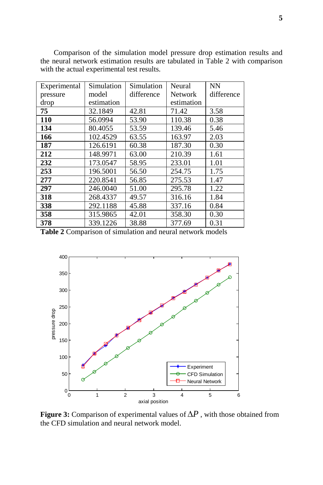| Experimental | Simulation | Simulation | Neural     | <b>NN</b>  |
|--------------|------------|------------|------------|------------|
| pressure     | model      | difference | Network    | difference |
| drop         | estimation |            | estimation |            |
| 75           | 32.1849    | 42.81      | 71.42      | 3.58       |
| 110          | 56.0994    | 53.90      | 110.38     | 0.38       |
| 134          | 80.4055    | 53.59      | 139.46     | 5.46       |
| 166          | 102.4529   | 63.55      | 163.97     | 2.03       |
| 187          | 126.6191   | 60.38      | 187.30     | 0.30       |
| 212          | 148.9971   | 63.00      | 210.39     | 1.61       |
| 232          | 173.0547   | 58.95      | 233.01     | 1.01       |
| 253          | 196.5001   | 56.50      | 254.75     | 1.75       |
| 277          | 220.8541   | 56.85      | 275.53     | 1.47       |
| 297          | 246.0040   | 51.00      | 295.78     | 1.22       |
| 318          | 268.4337   | 49.57      | 316.16     | 1.84       |
| 338          | 292.1188   | 45.88      | 337.16     | 0.84       |
| 358          | 315.9865   | 42.01      | 358.30     | 0.30       |
| 378          | 339.1226   | 38.88      | 377.69     | 0.31       |

Comparison of the simulation model pressure drop estimation results and the neural network estimation results are tabulated in Table 2 with comparison with the actual experimental test results.

**Table 2** Comparison of simulation and neural network models



**Figure 3:** Comparison of experimental values of ∆*P* , with those obtained from the CFD simulation and neural network model.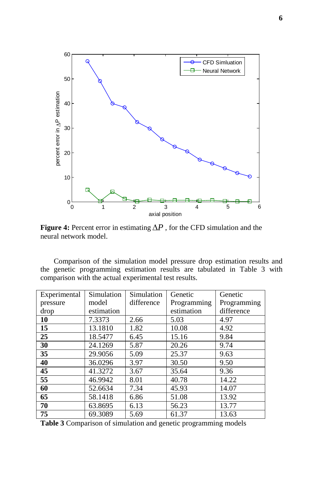

**Figure 4:** Percent error in estimating ∆*P* , for the CFD simulation and the neural network model.

Comparison of the simulation model pressure drop estimation results and the genetic programming estimation results are tabulated in Table 3 with comparison with the actual experimental test results.

| Experimental | Simulation | Simulation | Genetic     | Genetic     |
|--------------|------------|------------|-------------|-------------|
| pressure     | model      | difference | Programming | Programming |
| drop         | estimation |            | estimation  | difference  |
| 10           | 7.3373     | 2.66       | 5.03        | 4.97        |
| 15           | 13.1810    | 1.82       | 10.08       | 4.92        |
| 25           | 18.5477    | 6.45       | 15.16       | 9.84        |
| 30           | 24.1269    | 5.87       | 20.26       | 9.74        |
| 35           | 29.9056    | 5.09       | 25.37       | 9.63        |
| 40           | 36.0296    | 3.97       | 30.50       | 9.50        |
| 45           | 41.3272    | 3.67       | 35.64       | 9.36        |
| 55           | 46.9942    | 8.01       | 40.78       | 14.22       |
| 60           | 52.6634    | 7.34       | 45.93       | 14.07       |
| 65           | 58.1418    | 6.86       | 51.08       | 13.92       |
| 70           | 63.8695    | 6.13       | 56.23       | 13.77       |
| 75           | 69.3089    | 5.69       | 61.37       | 13.63       |

**Table 3** Comparison of simulation and genetic programming models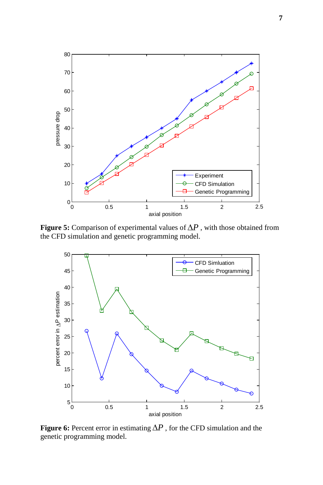

**Figure 5:** Comparison of experimental values of ∆*P* , with those obtained from the CFD simulation and genetic programming model.



**Figure 6:** Percent error in estimating ∆*P* , for the CFD simulation and the genetic programming model.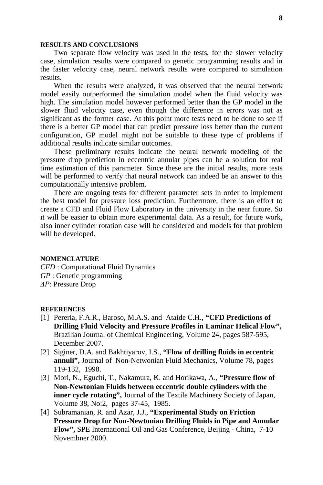### **RESULTS AND CONCLUSIONS**

Two separate flow velocity was used in the tests, for the slower velocity case, simulation results were compared to genetic programming results and in the faster velocity case, neural network results were compared to simulation results.

When the results were analyzed, it was observed that the neural network model easily outperformed the simulation model when the fluid velocity was high. The simulation model however performed better than the GP model in the slower fluid velocity case, even though the difference in errors was not as significant as the former case. At this point more tests need to be done to see if there is a better GP model that can predict pressure loss better than the current configuration, GP model might not be suitable to these type of problems if additional results indicate similar outcomes.

These preliminary results indicate the neural network modeling of the pressure drop prediction in eccentric annular pipes can be a solution for real time estimation of this parameter. Since these are the initial results, more tests will be performed to verify that neural network can indeed be an answer to this computationally intensive problem.

There are ongoing tests for different parameter sets in order to implement the best model for pressure loss prediction. Furthermore, there is an effort to create a CFD and Fluid Flow Laboratory in the university in the near future. So it will be easier to obtain more experimental data. As a result, for future work, also inner cylinder rotation case will be considered and models for that problem will be developed.

#### **NOMENCLATURE**

*CFD* : Computational Fluid Dynamics *GP* : Genetic programming *ΔP*: Pressure Drop

#### **REFERENCES**

- [1] Pereria, F.A.R., Baroso, M.A.S. and Ataide C.H., **"CFD Predictions of Drilling Fluid Velocity and Pressure Profiles in Laminar Helical Flow",** Brazilian Journal of Chemical Engineering, Volume 24, pages 587-595, December 2007.
- [2] Siginer, D.A. and Bakhtiyarov, I.S., **"Flow of drilling fluids in eccentric annuli",** Journal of Non-Netwonian Fluid Mechanics, Volume 78, pages 119-132, 1998.
- [3] Mori, N., Eguchi, T., Nakamura, K. and Horikawa, A., **"Pressure flow of Non-Newtonian Fluids between eccentric double cylinders with the inner cycle rotating",** Journal of the Textile Machinery Society of Japan, Volume 38, No:2, pages 37-45, 1985.
- [4] Subramanian, R. and Azar, J.J., **"Experimental Study on Friction Pressure Drop for Non-Newtonian Drilling Fluids in Pipe and Annular Flow",** SPE International Oil and Gas Conference, Beijing - China, 7-10 Novembner 2000.